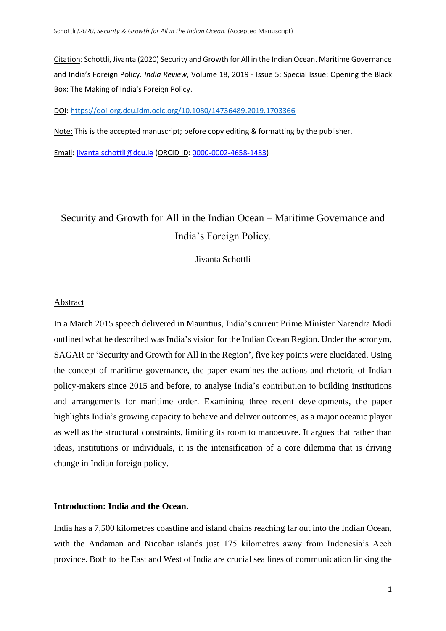Citation*:* Schottli, Jivanta (2020) Security and Growth for All in the Indian Ocean. Maritime Governance and India's Foreign Policy. *India Review*, Volume 18, 2019 - Issue 5: Special Issue: Opening the Black Box: The Making of India's Foreign Policy.

DOI:<https://doi-org.dcu.idm.oclc.org/10.1080/14736489.2019.1703366>

Note: This is the accepted manuscript; before copy editing & formatting by the publisher.

Email: [jivanta.schottli@dcu.ie](mailto:jivanta.schottli@dcu.ie) (ORCID ID[: 0000-0002-4658-1483\)](https://orcid.org/0000-0002-4658-1483)

# Security and Growth for All in the Indian Ocean – Maritime Governance and India's Foreign Policy.

Jivanta Schottli

#### Abstract

In a March 2015 speech delivered in Mauritius, India's current Prime Minister Narendra Modi outlined what he described was India's vision for the Indian Ocean Region. Under the acronym, SAGAR or 'Security and Growth for All in the Region', five key points were elucidated. Using the concept of maritime governance, the paper examines the actions and rhetoric of Indian policy-makers since 2015 and before, to analyse India's contribution to building institutions and arrangements for maritime order. Examining three recent developments, the paper highlights India's growing capacity to behave and deliver outcomes, as a major oceanic player as well as the structural constraints, limiting its room to manoeuvre. It argues that rather than ideas, institutions or individuals, it is the intensification of a core dilemma that is driving change in Indian foreign policy.

## **Introduction: India and the Ocean.**

India has a 7,500 kilometres coastline and island chains reaching far out into the Indian Ocean, with the Andaman and Nicobar islands just 175 kilometres away from Indonesia's Aceh province. Both to the East and West of India are crucial sea lines of communication linking the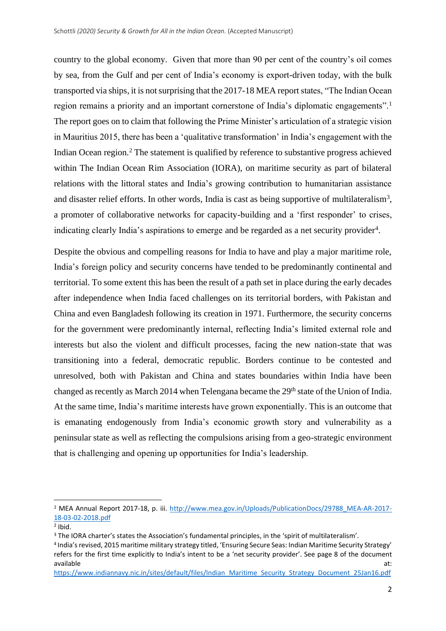country to the global economy. Given that more than 90 per cent of the country's oil comes by sea, from the Gulf and per cent of India's economy is export-driven today, with the bulk transported via ships, it is not surprising that the 2017-18 MEA report states, "The Indian Ocean region remains a priority and an important cornerstone of India's diplomatic engagements".<sup>1</sup> The report goes on to claim that following the Prime Minister's articulation of a strategic vision in Mauritius 2015, there has been a 'qualitative transformation' in India's engagement with the Indian Ocean region.<sup>2</sup> The statement is qualified by reference to substantive progress achieved within The Indian Ocean Rim Association (IORA), on maritime security as part of bilateral relations with the littoral states and India's growing contribution to humanitarian assistance and disaster relief efforts. In other words, India is cast as being supportive of multilateralism<sup>3</sup>, a promoter of collaborative networks for capacity-building and a 'first responder' to crises, indicating clearly India's aspirations to emerge and be regarded as a net security provider<sup>4</sup>.

Despite the obvious and compelling reasons for India to have and play a major maritime role, India's foreign policy and security concerns have tended to be predominantly continental and territorial. To some extent this has been the result of a path set in place during the early decades after independence when India faced challenges on its territorial borders, with Pakistan and China and even Bangladesh following its creation in 1971. Furthermore, the security concerns for the government were predominantly internal, reflecting India's limited external role and interests but also the violent and difficult processes, facing the new nation-state that was transitioning into a federal, democratic republic. Borders continue to be contested and unresolved, both with Pakistan and China and states boundaries within India have been changed as recently as March 2014 when Telengana became the 29<sup>th</sup> state of the Union of India. At the same time, India's maritime interests have grown exponentially. This is an outcome that is emanating endogenously from India's economic growth story and vulnerability as a peninsular state as well as reflecting the compulsions arising from a geo-strategic environment that is challenging and opening up opportunities for India's leadership.

<sup>1</sup> MEA Annual Report 2017-18, p. iii. [http://www.mea.gov.in/Uploads/PublicationDocs/29788\\_MEA-AR-2017-](http://www.mea.gov.in/Uploads/PublicationDocs/29788_MEA-AR-2017-18-03-02-2018.pdf) [18-03-02-2018.pdf](http://www.mea.gov.in/Uploads/PublicationDocs/29788_MEA-AR-2017-18-03-02-2018.pdf)

 $2$  Ibid.

<sup>&</sup>lt;sup>3</sup> The IORA charter's states the Association's fundamental principles, in the 'spirit of multilateralism'.

<sup>4</sup> India's revised, 2015 maritime military strategy titled, 'Ensuring Secure Seas: Indian Maritime Security Strategy' refers for the first time explicitly to India's intent to be a 'net security provider'. See page 8 of the document available at: the state at a state at a state at a state at a state at a state at a state at a state at a state  $\alpha$ 

[https://www.indiannavy.nic.in/sites/default/files/Indian\\_Maritime\\_Security\\_Strategy\\_Document\\_25Jan16.pdf](https://www.indiannavy.nic.in/sites/default/files/Indian_Maritime_Security_Strategy_Document_25Jan16.pdf)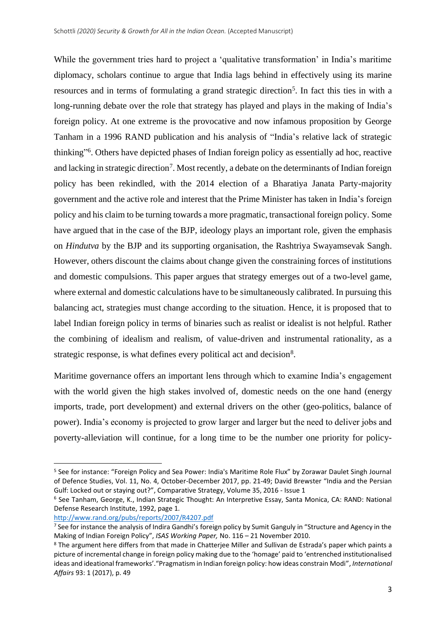While the government tries hard to project a 'qualitative transformation' in India's maritime diplomacy, scholars continue to argue that India lags behind in effectively using its marine resources and in terms of formulating a grand strategic direction<sup>5</sup>. In fact this ties in with a long-running debate over the role that strategy has played and plays in the making of India's foreign policy. At one extreme is the provocative and now infamous proposition by George Tanham in a 1996 RAND publication and his analysis of "India's relative lack of strategic thinking" 6 . Others have depicted phases of Indian foreign policy as essentially ad hoc, reactive and lacking in strategic direction<sup>7</sup>. Most recently, a debate on the determinants of Indian foreign policy has been rekindled, with the 2014 election of a Bharatiya Janata Party-majority government and the active role and interest that the Prime Minister has taken in India's foreign policy and his claim to be turning towards a more pragmatic, transactional foreign policy. Some have argued that in the case of the BJP, ideology plays an important role, given the emphasis on *Hindutva* by the BJP and its supporting organisation, the Rashtriya Swayamsevak Sangh. However, others discount the claims about change given the constraining forces of institutions and domestic compulsions. This paper argues that strategy emerges out of a two-level game, where external and domestic calculations have to be simultaneously calibrated. In pursuing this balancing act, strategies must change according to the situation. Hence, it is proposed that to label Indian foreign policy in terms of binaries such as realist or idealist is not helpful. Rather the combining of idealism and realism, of value-driven and instrumental rationality, as a strategic response, is what defines every political act and decision<sup>8</sup>.

Maritime governance offers an important lens through which to examine India's engagement with the world given the high stakes involved of, domestic needs on the one hand (energy imports, trade, port development) and external drivers on the other (geo-politics, balance of power). India's economy is projected to grow larger and larger but the need to deliver jobs and poverty-alleviation will continue, for a long time to be the number one priority for policy-

<http://www.rand.org/pubs/reports/2007/R4207.pdf>

<sup>5</sup> See for instance: "Foreign Policy and Sea Power: India's Maritime Role Flux" by Zorawar Daulet Singh Journal of Defence Studies, Vol. 11, No. 4, October-December 2017, pp. 21-49; David Brewster "India and the Persian Gulf: Locked out or staying out?", Comparative Strategy, Volume 35, 2016 - Issue 1

<sup>6</sup> See Tanham, George, K., Indian Strategic Thought: An Interpretive Essay, Santa Monica, CA: RAND: National Defense Research Institute, 1992, page 1.

<sup>&</sup>lt;sup>7</sup> See for instance the analysis of Indira Gandhi's foreign policy by Sumit Ganguly in "Structure and Agency in the Making of Indian Foreign Policy", *ISAS Working Paper,* No. 116 – 21 November 2010.

<sup>8</sup> The argument here differs from that made in Chatterjee Miller and Sullivan de Estrada's paper which paints a picture of incremental change in foreign policy making due to the 'homage' paid to 'entrenched institutionalised ideas and ideational frameworks'."Pragmatism in Indian foreign policy: how ideas constrain Modi", *International Affairs* 93: 1 (2017), p. 49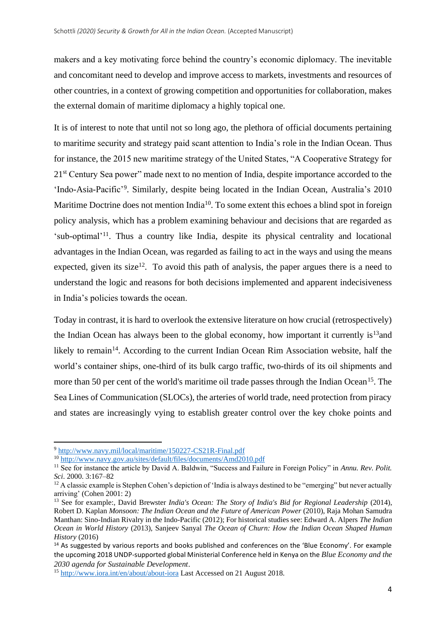makers and a key motivating force behind the country's economic diplomacy. The inevitable and concomitant need to develop and improve access to markets, investments and resources of other countries, in a context of growing competition and opportunities for collaboration, makes the external domain of maritime diplomacy a highly topical one.

It is of interest to note that until not so long ago, the plethora of official documents pertaining to maritime security and strategy paid scant attention to India's role in the Indian Ocean. Thus for instance, the 2015 new maritime strategy of the United States, "A Cooperative Strategy for 21st Century Sea power" made next to no mention of India, despite importance accorded to the 'Indo-Asia-Pacific'<sup>9</sup>. Similarly, despite being located in the Indian Ocean, Australia's 2010 Maritime Doctrine does not mention India<sup>10</sup>. To some extent this echoes a blind spot in foreign policy analysis, which has a problem examining behaviour and decisions that are regarded as 'sub-optimal'<sup>11</sup>. Thus a country like India, despite its physical centrality and locational advantages in the Indian Ocean, was regarded as failing to act in the ways and using the means expected, given its size<sup>12</sup>. To avoid this path of analysis, the paper argues there is a need to understand the logic and reasons for both decisions implemented and apparent indecisiveness in India's policies towards the ocean.

Today in contrast, it is hard to overlook the extensive literature on how crucial (retrospectively) the Indian Ocean has always been to the global economy, how important it currently is<sup>13</sup> and likely to remain<sup>14</sup>. According to the current Indian Ocean Rim Association website, half the world's container ships, one-third of its bulk cargo traffic, two-thirds of its oil shipments and more than 50 per cent of the world's maritime oil trade passes through the Indian Ocean<sup>15</sup>. The Sea Lines of Communication (SLOCs), the arteries of world trade, need protection from piracy and states are increasingly vying to establish greater control over the key choke points and

<sup>9</sup> <http://www.navy.mil/local/maritime/150227-CS21R-Final.pdf>

<sup>10</sup> <http://www.navy.gov.au/sites/default/files/documents/Amd2010.pdf>

<sup>&</sup>lt;sup>11</sup> See for instance the article by David A. Baldwin, "Success and Failure in Foreign Policy" in *Annu. Rev. Polit. Sci*. 2000. 3:167–82

<sup>&</sup>lt;sup>12</sup> A classic example is Stephen Cohen's depiction of 'India is always destined to be "emerging" but never actually arriving' (Cohen 2001: 2)

<sup>13</sup> See for example:, David Brewster *India's Ocean: The Story of India's Bid for Regional Leadership* (2014), Robert D. Kaplan *Monsoon: The Indian Ocean and the Future of American Power* (2010), Raja Mohan Samudra Manthan: Sino-Indian Rivalry in the Indo-Pacific (2012); For historical studies see: Edward A. Alpers *The Indian Ocean in World History* (2013), Sanjeev Sanyal *The Ocean of Churn: How the Indian Ocean Shaped Human History* (2016)

<sup>&</sup>lt;sup>14</sup> As suggested by various reports and books published and conferences on the 'Blue Economy'. For example the upcoming 2018 UNDP-supported global Ministerial Conference held in Kenya on the *Blue Economy and the 2030 agenda for Sustainable Development*.

<sup>15</sup> <http://www.iora.int/en/about/about-iora> Last Accessed on 21 August 2018.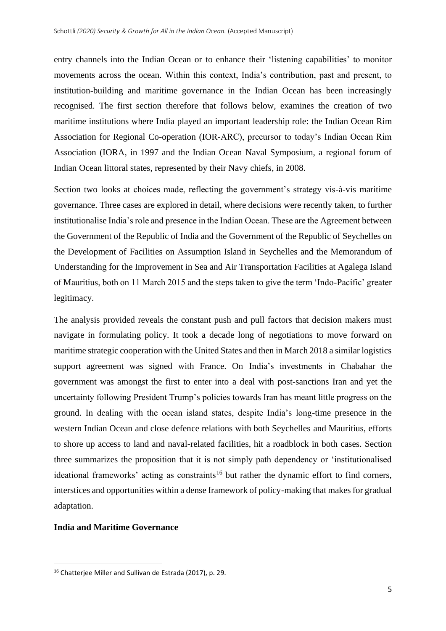entry channels into the Indian Ocean or to enhance their 'listening capabilities' to monitor movements across the ocean. Within this context, India's contribution, past and present, to institution-building and maritime governance in the Indian Ocean has been increasingly recognised. The first section therefore that follows below, examines the creation of two maritime institutions where India played an important leadership role: the Indian Ocean Rim Association for Regional Co-operation (IOR-ARC), precursor to today's Indian Ocean Rim Association (IORA, in 1997 and the Indian Ocean Naval Symposium, a regional forum of Indian Ocean littoral states, represented by their Navy chiefs, in 2008.

Section two looks at choices made, reflecting the government's strategy vis-à-vis maritime governance. Three cases are explored in detail, where decisions were recently taken, to further institutionalise India's role and presence in the Indian Ocean. These are the Agreement between the Government of the Republic of India and the Government of the Republic of Seychelles on the Development of Facilities on Assumption Island in Seychelles and the Memorandum of Understanding for the Improvement in Sea and Air Transportation Facilities at Agalega Island of Mauritius, both on 11 March 2015 and the steps taken to give the term 'Indo-Pacific' greater legitimacy.

The analysis provided reveals the constant push and pull factors that decision makers must navigate in formulating policy. It took a decade long of negotiations to move forward on maritime strategic cooperation with the United States and then in March 2018 a similar logistics support agreement was signed with France. On India's investments in Chabahar the government was amongst the first to enter into a deal with post-sanctions Iran and yet the uncertainty following President Trump's policies towards Iran has meant little progress on the ground. In dealing with the ocean island states, despite India's long-time presence in the western Indian Ocean and close defence relations with both Seychelles and Mauritius, efforts to shore up access to land and naval-related facilities, hit a roadblock in both cases. Section three summarizes the proposition that it is not simply path dependency or 'institutionalised ideational frameworks' acting as constraints<sup>16</sup> but rather the dynamic effort to find corners, interstices and opportunities within a dense framework of policy-making that makes for gradual adaptation.

## **India and Maritime Governance**

<sup>16</sup> Chatterjee Miller and Sullivan de Estrada (2017), p. 29.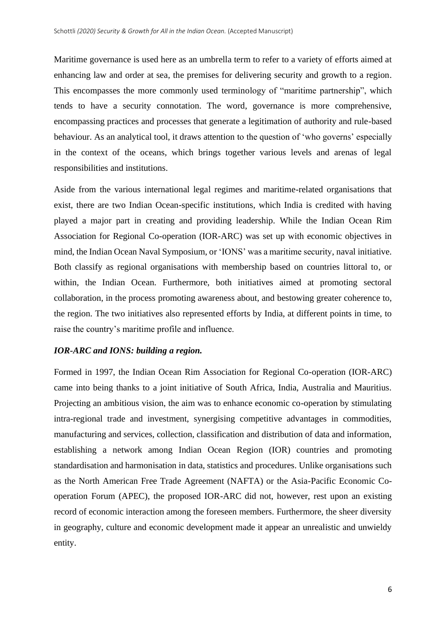Maritime governance is used here as an umbrella term to refer to a variety of efforts aimed at enhancing law and order at sea, the premises for delivering security and growth to a region. This encompasses the more commonly used terminology of "maritime partnership", which tends to have a security connotation. The word, governance is more comprehensive, encompassing practices and processes that generate a legitimation of authority and rule-based behaviour. As an analytical tool, it draws attention to the question of 'who governs' especially in the context of the oceans, which brings together various levels and arenas of legal responsibilities and institutions.

Aside from the various international legal regimes and maritime-related organisations that exist, there are two Indian Ocean-specific institutions, which India is credited with having played a major part in creating and providing leadership. While the Indian Ocean Rim Association for Regional Co-operation (IOR-ARC) was set up with economic objectives in mind, the Indian Ocean Naval Symposium, or 'IONS' was a maritime security, naval initiative. Both classify as regional organisations with membership based on countries littoral to, or within, the Indian Ocean. Furthermore, both initiatives aimed at promoting sectoral collaboration, in the process promoting awareness about, and bestowing greater coherence to, the region. The two initiatives also represented efforts by India, at different points in time, to raise the country's maritime profile and influence.

# *IOR-ARC and IONS: building a region.*

Formed in 1997, the Indian Ocean Rim Association for Regional Co-operation (IOR-ARC) came into being thanks to a joint initiative of South Africa, India, Australia and Mauritius. Projecting an ambitious vision, the aim was to enhance economic co-operation by stimulating intra-regional trade and investment, synergising competitive advantages in commodities, manufacturing and services, collection, classification and distribution of data and information, establishing a network among Indian Ocean Region (IOR) countries and promoting standardisation and harmonisation in data, statistics and procedures. Unlike organisations such as the North American Free Trade Agreement (NAFTA) or the Asia-Pacific Economic Cooperation Forum (APEC), the proposed IOR-ARC did not, however, rest upon an existing record of economic interaction among the foreseen members. Furthermore, the sheer diversity in geography, culture and economic development made it appear an unrealistic and unwieldy entity.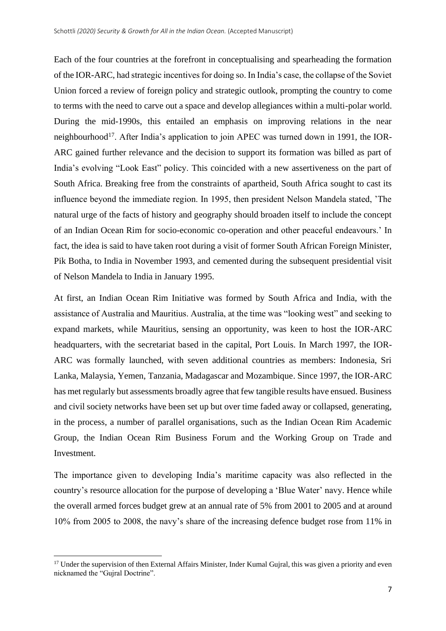Each of the four countries at the forefront in conceptualising and spearheading the formation of the IOR-ARC, had strategic incentives for doing so. In India's case, the collapse of the Soviet Union forced a review of foreign policy and strategic outlook, prompting the country to come to terms with the need to carve out a space and develop allegiances within a multi-polar world. During the mid-1990s, this entailed an emphasis on improving relations in the near neighbourhood<sup>17</sup>. After India's application to join APEC was turned down in 1991, the IOR-ARC gained further relevance and the decision to support its formation was billed as part of India's evolving "Look East" policy. This coincided with a new assertiveness on the part of South Africa. Breaking free from the constraints of apartheid, South Africa sought to cast its influence beyond the immediate region. In 1995, then president Nelson Mandela stated, 'The natural urge of the facts of history and geography should broaden itself to include the concept of an Indian Ocean Rim for socio-economic co-operation and other peaceful endeavours.' In fact, the idea is said to have taken root during a visit of former South African Foreign Minister, Pik Botha, to India in November 1993, and cemented during the subsequent presidential visit of Nelson Mandela to India in January 1995.

At first, an Indian Ocean Rim Initiative was formed by South Africa and India, with the assistance of Australia and Mauritius. Australia, at the time was "looking west" and seeking to expand markets, while Mauritius, sensing an opportunity, was keen to host the IOR-ARC headquarters, with the secretariat based in the capital, Port Louis. In March 1997, the IOR-ARC was formally launched, with seven additional countries as members: Indonesia, Sri Lanka, Malaysia, Yemen, Tanzania, Madagascar and Mozambique. Since 1997, the IOR-ARC has met regularly but assessments broadly agree that few tangible results have ensued. Business and civil society networks have been set up but over time faded away or collapsed, generating, in the process, a number of parallel organisations, such as the Indian Ocean Rim Academic Group, the Indian Ocean Rim Business Forum and the Working Group on Trade and Investment.

The importance given to developing India's maritime capacity was also reflected in the country's resource allocation for the purpose of developing a 'Blue Water' navy. Hence while the overall armed forces budget grew at an annual rate of 5% from 2001 to 2005 and at around 10% from 2005 to 2008, the navy's share of the increasing defence budget rose from 11% in

<sup>&</sup>lt;sup>17</sup> Under the supervision of then External Affairs Minister, Inder Kumal Guiral, this was given a priority and even nicknamed the "Gujral Doctrine".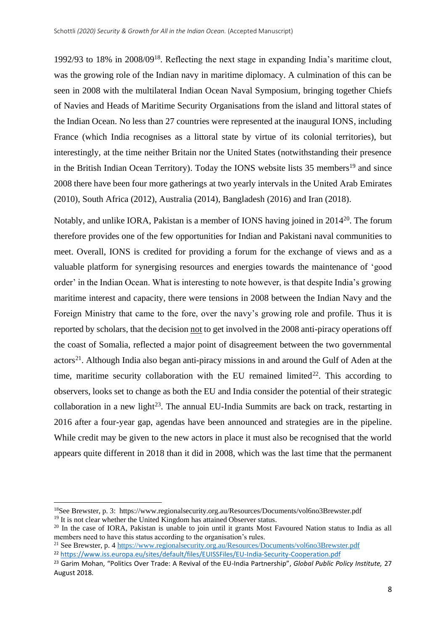1992/93 to 18% in 2008/09<sup>18</sup> . Reflecting the next stage in expanding India's maritime clout, was the growing role of the Indian navy in maritime diplomacy. A culmination of this can be seen in 2008 with the multilateral Indian Ocean Naval Symposium, bringing together Chiefs of Navies and Heads of Maritime Security Organisations from the island and littoral states of the Indian Ocean. No less than 27 countries were represented at the inaugural IONS, including France (which India recognises as a littoral state by virtue of its colonial territories), but interestingly, at the time neither Britain nor the United States (notwithstanding their presence in the British Indian Ocean Territory). Today the IONS website lists  $35$  members<sup>19</sup> and since 2008 there have been four more gatherings at two yearly intervals in the United Arab Emirates (2010), South Africa (2012), Australia (2014), Bangladesh (2016) and Iran (2018).

Notably, and unlike IORA, Pakistan is a member of IONS having joined in 2014<sup>20</sup>. The forum therefore provides one of the few opportunities for Indian and Pakistani naval communities to meet. Overall, IONS is credited for providing a forum for the exchange of views and as a valuable platform for synergising resources and energies towards the maintenance of 'good order' in the Indian Ocean. What is interesting to note however, is that despite India's growing maritime interest and capacity, there were tensions in 2008 between the Indian Navy and the Foreign Ministry that came to the fore, over the navy's growing role and profile. Thus it is reported by scholars, that the decision not to get involved in the 2008 anti-piracy operations off the coast of Somalia, reflected a major point of disagreement between the two governmental actors<sup>21</sup>. Although India also began anti-piracy missions in and around the Gulf of Aden at the time, maritime security collaboration with the EU remained limited $22$ . This according to observers, looks set to change as both the EU and India consider the potential of their strategic collaboration in a new light $2<sup>3</sup>$ . The annual EU-India Summits are back on track, restarting in 2016 after a four-year gap, agendas have been announced and strategies are in the pipeline. While credit may be given to the new actors in place it must also be recognised that the world appears quite different in 2018 than it did in 2008, which was the last time that the permanent

<sup>18</sup>See Brewster, p. 3: https://www.regionalsecurity.org.au/Resources/Documents/vol6no3Brewster.pdf <sup>19</sup> It is not clear whether the United Kingdom has attained Observer status.

<sup>&</sup>lt;sup>20</sup> In the case of IORA, Pakistan is unable to join until it grants Most Favoured Nation status to India as all members need to have this status according to the organisation's rules.

<sup>21</sup> See Brewster, p. [4 https://www.regionalsecurity.org.au/Resources/Documents/vol6no3Brewster.pdf](https://www.regionalsecurity.org.au/Resources/Documents/vol6no3Brewster.pdf)

<sup>22</sup> <https://www.iss.europa.eu/sites/default/files/EUISSFiles/EU-India-Security-Cooperation.pdf>

<sup>23</sup> Garim Mohan, "Politics Over Trade: A Revival of the EU-India Partnership", *Global Public Policy Institute,* 27 August 2018.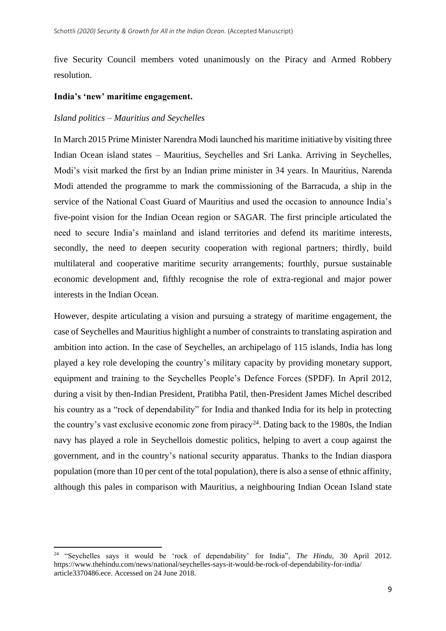five Security Council members voted unanimously on the Piracy and Armed Robbery resolution.

## **India's 'new' maritime engagement.**

## *Island politics – Mauritius and Seychelles*

In March 2015 Prime Minister Narendra Modi launched his maritime initiative by visiting three Indian Ocean island states – Mauritius, Seychelles and Sri Lanka. Arriving in Seychelles, Modi's visit marked the first by an Indian prime minister in 34 years. In Mauritius, Narenda Modi attended the programme to mark the commissioning of the Barracuda, a ship in the service of the National Coast Guard of Mauritius and used the occasion to announce India's five-point vision for the Indian Ocean region or SAGAR. The first principle articulated the need to secure India's mainland and island territories and defend its maritime interests, secondly, the need to deepen security cooperation with regional partners; thirdly, build multilateral and cooperative maritime security arrangements; fourthly, pursue sustainable economic development and, fifthly recognise the role of extra-regional and major power interests in the Indian Ocean.

However, despite articulating a vision and pursuing a strategy of maritime engagement, the case of Seychelles and Mauritius highlight a number of constraints to translating aspiration and ambition into action. In the case of Seychelles, an archipelago of 115 islands, India has long played a key role developing the country's military capacity by providing monetary support, equipment and training to the Seychelles People's Defence Forces (SPDF). In April 2012, during a visit by then-Indian President, Pratibha Patil, then-President James Michel described his country as a "rock of dependability" for India and thanked India for its help in protecting the country's vast exclusive economic zone from piracy<sup>24</sup>. Dating back to the 1980s, the Indian navy has played a role in Seychellois domestic politics, helping to avert a coup against the government, and in the country's national security apparatus. Thanks to the Indian diaspora population (more than 10 per cent of the total population), there is also a sense of ethnic affinity, although this pales in comparison with Mauritius, a neighbouring Indian Ocean Island state

<sup>24</sup> "Seychelles says it would be 'rock of dependability' for India", *The Hindu*, 30 April 2012. [https://www.thehindu.com/news/national/seychelles-says-it-would-be-rock-of-dependability-for-india/](https://www.thehindu.com/news/national/seychelles-says-it-would-be-rock-of-dependability-for-india/article3370486.ece)  [article3370486.ece.](https://www.thehindu.com/news/national/seychelles-says-it-would-be-rock-of-dependability-for-india/article3370486.ece) Accessed on 24 June 2018.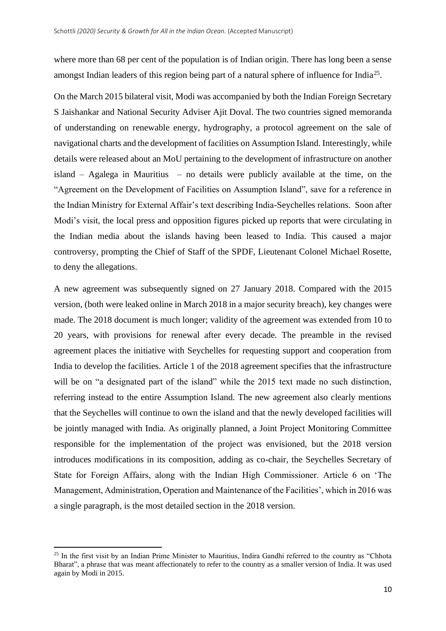where more than 68 per cent of the population is of Indian origin. There has long been a sense amongst Indian leaders of this region being part of a natural sphere of influence for India<sup>25</sup>.

On the March 2015 bilateral visit, Modi was accompanied by both the Indian Foreign Secretary S Jaishankar and National Security Adviser Ajit Doval. The two countries signed memoranda of understanding on renewable energy, hydrography, a protocol agreement on the sale of navigational charts and the development of facilities on Assumption Island. Interestingly, while details were released about an MoU pertaining to the development of infrastructure on another island – Agalega in Mauritius – no details were publicly available at the time, on the "Agreement on the Development of Facilities on Assumption Island", save for a reference in the Indian Ministry for External Affair's text describing India-Seychelles relations. Soon after Modi's visit, the local press and opposition figures picked up reports that were circulating in the Indian media about the islands having been leased to India. This caused a major controversy, prompting the Chief of Staff of the SPDF, Lieutenant Colonel Michael Rosette, to deny the allegations.

A new agreement was subsequently signed on 27 January 2018. Compared with the 2015 version, (both were leaked online in March 2018 in a major security breach), key changes were made. The 2018 document is much longer; validity of the agreement was extended from 10 to 20 years, with provisions for renewal after every decade. The preamble in the revised agreement places the initiative with Seychelles for requesting support and cooperation from India to develop the facilities. Article 1 of the 2018 agreement specifies that the infrastructure will be on "a designated part of the island" while the 2015 text made no such distinction, referring instead to the entire Assumption Island. The new agreement also clearly mentions that the Seychelles will continue to own the island and that the newly developed facilities will be jointly managed with India. As originally planned, a Joint Project Monitoring Committee responsible for the implementation of the project was envisioned, but the 2018 version introduces modifications in its composition, adding as co-chair, the Seychelles Secretary of State for Foreign Affairs, along with the Indian High Commissioner. Article 6 on 'The Management, Administration, Operation and Maintenance of the Facilities', which in 2016 was a single paragraph, is the most detailed section in the 2018 version.

<sup>&</sup>lt;sup>25</sup> In the first visit by an Indian Prime Minister to Mauritius, Indira Gandhi referred to the country as "Chhota Bharat", a phrase that was meant affectionately to refer to the country as a smaller version of India. It was used again by Modi in 2015.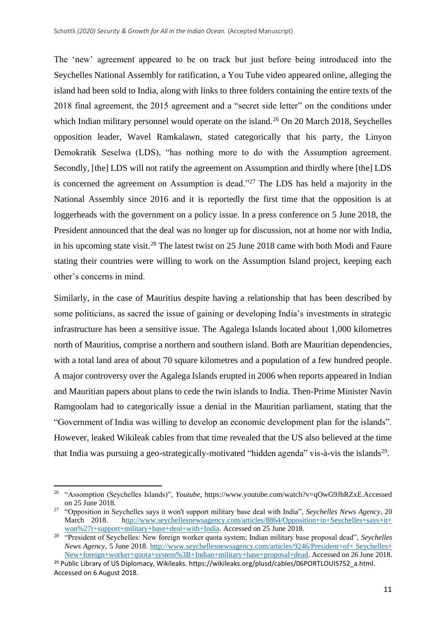The 'new' agreement appeared to be on track but just before being introduced into the Seychelles National Assembly for ratification, a You Tube video appeared online, alleging the island had been sold to India, along with links to three folders containing the entire texts of the 2018 final agreement, the 2015 agreement and a "secret side letter" on the conditions under which Indian military personnel would operate on the island.<sup>26</sup> On 20 March 2018, Seychelles opposition leader, Wavel Ramkalawn, stated categorically that his party, the Linyon Demokratik Seselwa (LDS), "has nothing more to do with the Assumption agreement. Secondly, [the] LDS will not ratify the agreement on Assumption and thirdly where [the] LDS is concerned the agreement on Assumption is dead."<sup>27</sup> The LDS has held a majority in the National Assembly since 2016 and it is reportedly the first time that the opposition is at loggerheads with the government on a policy issue. In a press conference on 5 June 2018, the President announced that the deal was no longer up for discussion, not at home nor with India, in his upcoming state visit.<sup>28</sup> The latest twist on 25 June 2018 came with both Modi and Faure stating their countries were willing to work on the Assumption Island project, keeping each other's concerns in mind.

Similarly, in the case of Mauritius despite having a relationship that has been described by some politicians, as sacred the issue of gaining or developing India's investments in strategic infrastructure has been a sensitive issue. The Agalega Islands located about 1,000 kilometres north of Mauritius, comprise a northern and southern island. Both are Mauritian dependencies, with a total land area of about 70 square kilometres and a population of a few hundred people. A major controversy over the Agalega Islands erupted in 2006 when reports appeared in Indian and Mauritian papers about plans to cede the twin islands to India. Then-Prime Minister Navin Ramgoolam had to categorically issue a denial in the Mauritian parliament, stating that the "Government of India was willing to develop an economic development plan for the islands". However, leaked Wikileak cables from that time revealed that the US also believed at the time that India was pursuing a geo-strategically-motivated "hidden agenda" vis-à-vis the islands<sup>29</sup>.

<sup>26</sup> "Assomption (Seychelles Islands)", *Youtube*, https://www.youtube.com/watch?v=qOwG9JhRZxE.Accessed on 25 June 2018.

<sup>27</sup> "Opposition in Seychelles says it won't support military base deal with India", *Seychelles News Agency*, 20 March 2018. http://www.seychellesnewsagency.com/articles/8864/Opposition+in+Seychelles+says+it+ [won%27t+support+military+base+deal+with+India.](http://www.seychellesnewsagency.com/articles/8864/Opposition+in+Seychelles+says+it+won%27t+support+military+base+deal+with+India) Accessed on 25 June 2018.

<sup>28</sup> "President of Seychelles: New foreign worker quota system; Indian military base proposal dead", *Seychelles News Agency*, 5 June 2018. [http://www.seychellesnewsagency.com/articles/9246/President+of+ Seychelles+](http://www.seychellesnewsagency.com/articles/9246/President+of+Seychelles+New+foreign+worker+quota+system%3B+Indian+military+base+proposal+dead)  [New+foreign+worker+quota+system%3B+Indian+military+base+proposal+dead.](http://www.seychellesnewsagency.com/articles/9246/President+of+Seychelles+New+foreign+worker+quota+system%3B+Indian+military+base+proposal+dead) Accessed on 26 June 2018.

<sup>&</sup>lt;sup>29</sup> Public Library of US Diplomacy, Wikileaks. https://wikileaks.org/plusd/cables/06PORTLOUIS752\_a.html. Accessed on 6 August 2018.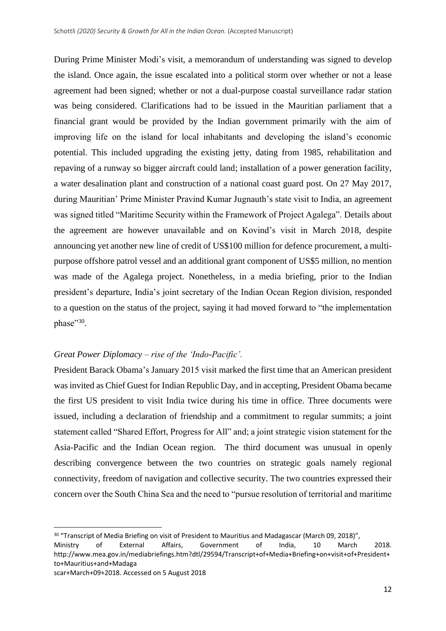During Prime Minister Modi's visit, a memorandum of understanding was signed to develop the island. Once again, the issue escalated into a political storm over whether or not a lease agreement had been signed; whether or not a dual-purpose coastal surveillance radar station was being considered. Clarifications had to be issued in the Mauritian parliament that a financial grant would be provided by the Indian government primarily with the aim of improving life on the island for local inhabitants and developing the island's economic potential. This included upgrading the existing jetty, dating from 1985, rehabilitation and repaving of a runway so bigger aircraft could land; installation of a power generation facility, a water desalination plant and construction of a national coast guard post. On 27 May 2017, during Mauritian' Prime Minister Pravind Kumar Jugnauth's state visit to India, an agreement was signed titled "Maritime Security within the Framework of Project Agalega". Details about the agreement are however unavailable and on Kovind's visit in March 2018, despite announcing yet another new line of credit of US\$100 million for defence procurement, a multipurpose offshore patrol vessel and an additional grant component of US\$5 million, no mention was made of the Agalega project. Nonetheless, in a media briefing, prior to the Indian president's departure, India's joint secretary of the Indian Ocean Region division, responded to a question on the status of the project, saying it had moved forward to "the implementation phase"30.

## *Great Power Diplomacy – rise of the 'Indo-Pacific'.*

President Barack Obama's January 2015 visit marked the first time that an American president was invited as Chief Guest for Indian Republic Day, and in accepting, President Obama became the first US president to visit India twice during his time in office. Three documents were issued, including a declaration of friendship and a commitment to regular summits; a joint statement called "Shared Effort, Progress for All" and; a joint strategic vision statement for the Asia-Pacific and the Indian Ocean region. The third document was unusual in openly describing convergence between the two countries on strategic goals namely regional connectivity, freedom of navigation and collective security. The two countries expressed their concern over the South China Sea and the need to "pursue resolution of territorial and maritime

<sup>&</sup>lt;sup>30</sup> "Transcript of Media Briefing on visit of President to Mauritius and Madagascar (March 09, 2018)",

Ministry of External Affairs, Government of India, 10 March 2018. http://www.mea.gov.in/mediabriefings.htm?dtl/29594/Transcript+of+Media+Briefing+on+visit+of+President+ to+Mauritius+and+Madaga

scar+March+09+2018. Accessed on 5 August 2018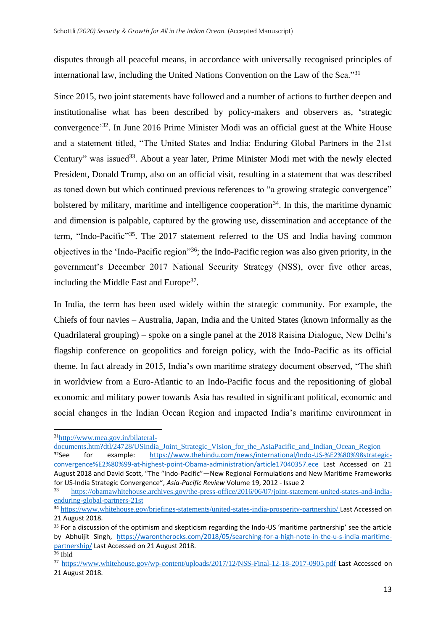disputes through all peaceful means, in accordance with universally recognised principles of international law, including the United Nations Convention on the Law of the Sea."<sup>31</sup>

Since 2015, two joint statements have followed and a number of actions to further deepen and institutionalise what has been described by policy-makers and observers as, 'strategic convergence' <sup>32</sup>. In June 2016 Prime Minister Modi was an official guest at the White House and a statement titled, "The United States and India: Enduring Global Partners in the 21st Century" was issued<sup>33</sup>. About a year later, Prime Minister Modi met with the newly elected President, Donald Trump, also on an official visit, resulting in a statement that was described as toned down but which continued previous references to "a growing strategic convergence" bolstered by military, maritime and intelligence cooperation<sup>34</sup>. In this, the maritime dynamic and dimension is palpable, captured by the growing use, dissemination and acceptance of the term, "Indo-Pacific"<sup>35</sup>. The 2017 statement referred to the US and India having common objectives in the 'Indo-Pacific region"<sup>36</sup>; the Indo-Pacific region was also given priority, in the government's December 2017 National Security Strategy (NSS), over five other areas, including the Middle East and Europe<sup>37</sup>.

In India, the term has been used widely within the strategic community. For example, the Chiefs of four navies – Australia, Japan, India and the United States (known informally as the Quadrilateral grouping) – spoke on a single panel at the 2018 Raisina Dialogue, New Delhi's flagship conference on geopolitics and foreign policy, with the Indo-Pacific as its official theme. In fact already in 2015, India's own maritime strategy document observed, "The shift in worldview from a Euro-Atlantic to an Indo-Pacific focus and the repositioning of global economic and military power towards Asia has resulted in significant political, economic and social changes in the Indian Ocean Region and impacted India's maritime environment in

<sup>31</sup>[http://www.mea.gov.in/bilateral-](http://www.mea.gov.in/bilateral-documents.htm?dtl/24728/USIndia_Joint_Strategic_Vision_for_the_AsiaPacific_and_Indian_Ocean_Region)

[documents.htm?dtl/24728/USIndia\\_Joint\\_Strategic\\_Vision\\_for\\_the\\_AsiaPacific\\_and\\_Indian\\_Ocean\\_Region](http://www.mea.gov.in/bilateral-documents.htm?dtl/24728/USIndia_Joint_Strategic_Vision_for_the_AsiaPacific_and_Indian_Ocean_Region) <sup>32</sup>See for example: [https://www.thehindu.com/news/international/Indo-US-%E2%80%98strategic](https://www.thehindu.com/news/international/Indo-US-%E2%80%98strategic-convergence%E2%80%99-at-highest-point-Obama-administration/article17040357.ece)[convergence%E2%80%99-at-highest-point-Obama-administration/article17040357.ece](https://www.thehindu.com/news/international/Indo-US-%E2%80%98strategic-convergence%E2%80%99-at-highest-point-Obama-administration/article17040357.ece) Last Accessed on 21 August 2018 and David Scott, "The "Indo-Pacific"—New Regional Formulations and New Maritime Frameworks for US-India Strategic Convergence", *Asia-Pacific Review* Volume 19, 2012 - Issue 2

<sup>33</sup> [https://obamawhitehouse.archives.gov/the-press-office/2016/06/07/joint-statement-united-states-and-india](https://obamawhitehouse.archives.gov/the-press-office/2016/06/07/joint-statement-united-states-and-india-enduring-global-partners-21st)[enduring-global-partners-21st](https://obamawhitehouse.archives.gov/the-press-office/2016/06/07/joint-statement-united-states-and-india-enduring-global-partners-21st)

<sup>34</sup> <https://www.whitehouse.gov/briefings-statements/united-states-india-prosperity-partnership/> Last Accessed on 21 August 2018.

<sup>&</sup>lt;sup>35</sup> For a discussion of the optimism and skepticism regarding the Indo-US 'maritime partnership' see the article by Abhuijit Singh, [https://warontherocks.com/2018/05/searching-for-a-high-note-in-the-u-s-india-maritime](https://warontherocks.com/2018/05/searching-for-a-high-note-in-the-u-s-india-maritime-partnership/)[partnership/](https://warontherocks.com/2018/05/searching-for-a-high-note-in-the-u-s-india-maritime-partnership/) Last Accessed on 21 August 2018.

<sup>36</sup> Ibid

<sup>37</sup> <https://www.whitehouse.gov/wp-content/uploads/2017/12/NSS-Final-12-18-2017-0905.pdf> Last Accessed on 21 August 2018.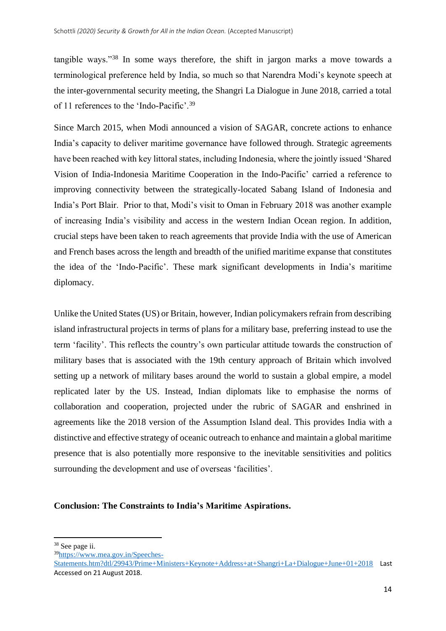tangible ways."<sup>38</sup> In some ways therefore, the shift in jargon marks a move towards a terminological preference held by India, so much so that Narendra Modi's keynote speech at the inter-governmental security meeting, the Shangri La Dialogue in June 2018, carried a total of 11 references to the 'Indo-Pacific'.<sup>39</sup>

Since March 2015, when Modi announced a vision of SAGAR, concrete actions to enhance India's capacity to deliver maritime governance have followed through. Strategic agreements have been reached with key littoral states, including Indonesia, where the jointly issued 'Shared Vision of India-Indonesia Maritime Cooperation in the Indo-Pacific' carried a reference to improving connectivity between the strategically-located Sabang Island of Indonesia and India's Port Blair. Prior to that, Modi's visit to Oman in February 2018 was another example of increasing India's visibility and access in the western Indian Ocean region. In addition, crucial steps have been taken to reach agreements that provide India with the use of American and French bases across the length and breadth of the unified maritime expanse that constitutes the idea of the 'Indo-Pacific'. These mark significant developments in India's maritime diplomacy.

Unlike the United States (US) or Britain, however, Indian policymakers refrain from describing island infrastructural projects in terms of plans for a military base, preferring instead to use the term 'facility'. This reflects the country's own particular attitude towards the construction of military bases that is associated with the 19th century approach of Britain which involved setting up a network of military bases around the world to sustain a global empire, a model replicated later by the US. Instead, Indian diplomats like to emphasise the norms of collaboration and cooperation, projected under the rubric of SAGAR and enshrined in agreements like the 2018 version of the Assumption Island deal. This provides India with a distinctive and effective strategy of oceanic outreach to enhance and maintain a global maritime presence that is also potentially more responsive to the inevitable sensitivities and politics surrounding the development and use of overseas 'facilities'.

## **Conclusion: The Constraints to India's Maritime Aspirations.**

39[https://www.mea.gov.in/Speeches-](https://www.mea.gov.in/Speeches-Statements.htm?dtl/29943/Prime+Ministers+Keynote+Address+at+Shangri+La+Dialogue+June+01+2018)

<sup>38</sup> See page ii.

[Statements.htm?dtl/29943/Prime+Ministers+Keynote+Address+at+Shangri+La+Dialogue+June+01+2018](https://www.mea.gov.in/Speeches-Statements.htm?dtl/29943/Prime+Ministers+Keynote+Address+at+Shangri+La+Dialogue+June+01+2018) Last Accessed on 21 August 2018.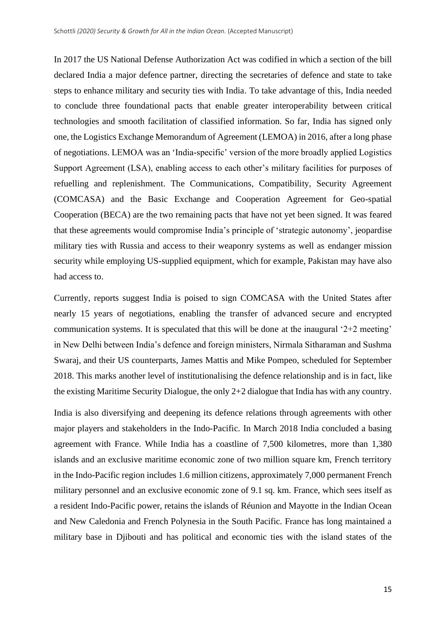In 2017 the US National Defense Authorization Act was codified in which a section of the bill declared India a major defence partner, directing the secretaries of defence and state to take steps to enhance military and security ties with India. To take advantage of this, India needed to conclude three foundational pacts that enable greater interoperability between critical technologies and smooth facilitation of classified information. So far, India has signed only one, the Logistics Exchange Memorandum of Agreement (LEMOA) in 2016, after a long phase of negotiations. LEMOA was an 'India-specific' version of the more broadly applied Logistics Support Agreement (LSA), enabling access to each other's military facilities for purposes of refuelling and replenishment. The Communications, Compatibility, Security Agreement (COMCASA) and the Basic Exchange and Cooperation Agreement for Geo-spatial Cooperation (BECA) are the two remaining pacts that have not yet been signed. It was feared that these agreements would compromise India's principle of 'strategic autonomy', jeopardise military ties with Russia and access to their weaponry systems as well as endanger mission security while employing US-supplied equipment, which for example, Pakistan may have also had access to.

Currently, reports suggest India is poised to sign COMCASA with the United States after nearly 15 years of negotiations, enabling the transfer of advanced secure and encrypted communication systems. It is speculated that this will be done at the inaugural '2+2 meeting' in New Delhi between India's defence and foreign ministers, Nirmala Sitharaman and Sushma Swaraj, and their US counterparts, James Mattis and Mike Pompeo, scheduled for September 2018. This marks another level of institutionalising the defence relationship and is in fact, like the existing Maritime Security Dialogue, the only 2+2 dialogue that India has with any country.

India is also diversifying and deepening its defence relations through agreements with other major players and stakeholders in the Indo-Pacific. In March 2018 India concluded a basing agreement with France. While India has a coastline of 7,500 kilometres, more than 1,380 islands and an exclusive maritime economic zone of two million square km, French territory in the Indo-Pacific region includes 1.6 million citizens, approximately 7,000 permanent French military personnel and an exclusive economic zone of 9.1 sq. km. France, which sees itself as a resident Indo-Pacific power, retains the islands of Réunion and Mayotte in the Indian Ocean and New Caledonia and French Polynesia in the South Pacific. France has long maintained a military base in Djibouti and has political and economic ties with the island states of the